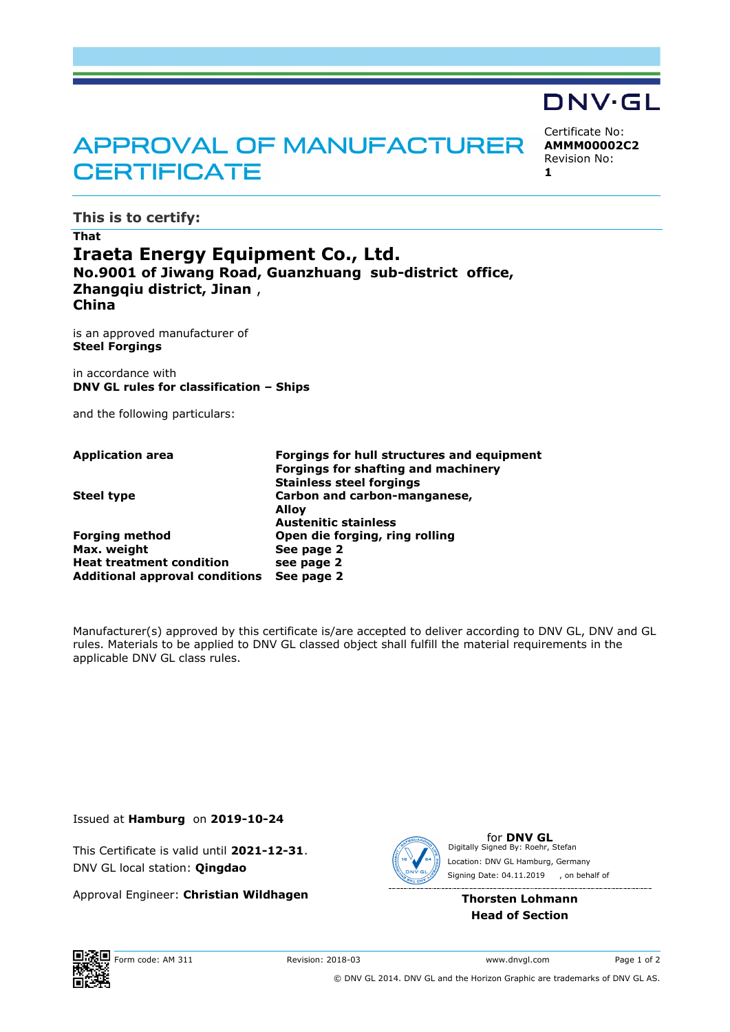# APPROVAL OF MANUFACTURER **CERTIFICATE**

**This is to certify:**

## **That Iraeta Energy Equipment Co., Ltd. No.9001 of Jiwang Road, Guanzhuang sub-district office, Zhangqiu district, Jinan** , **China**

is an approved manufacturer of **Steel Forgings**

in accordance with **DNV GL rules for classification – Ships**

and the following particulars:

| Forgings for hull structures and equipment |
|--------------------------------------------|
| <b>Forgings for shafting and machinery</b> |
| <b>Stainless steel forgings</b>            |
| Carbon and carbon-manganese,               |
| Alloy                                      |
| <b>Austenitic stainless</b>                |
| Open die forging, ring rolling             |
| See page 2                                 |
| see page 2                                 |
| See page 2                                 |
|                                            |

Manufacturer(s) approved by this certificate is/are accepted to deliver according to DNV GL, DNV and GL rules. Materials to be applied to DNV GL classed object shall fulfill the material requirements in the applicable DNV GL class rules.

Issued at **Hamburg** on **2019-10-24**

This Certificate is valid until **2021-12-31**. DNV GL local station: **Qingdao**

Approval Engineer: **Christian Wildhagen**



for **DNV GL** Signing Date: 04.11.2019 , on behalf ofDigitally Signed By: Roehr, Stefan Location: DNV GL Hamburg, Germany

## **Thorsten Lohmann Head of Section**

Certificate No: **AMMM00002C2** Revision No:

DNV·GL

**1**

© DNV GL 2014. DNV GL and the Horizon Graphic are trademarks of DNV GL AS.